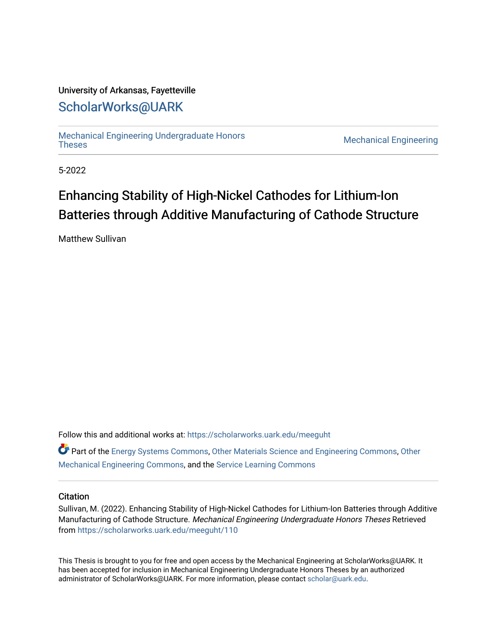## University of Arkansas, Fayetteville

# [ScholarWorks@UARK](https://scholarworks.uark.edu/)

[Mechanical Engineering Undergraduate Honors](https://scholarworks.uark.edu/meeguht)

**Mechanical Engineering** 

5-2022

# Enhancing Stability of High-Nickel Cathodes for Lithium-Ion Batteries through Additive Manufacturing of Cathode Structure

Matthew Sullivan

Follow this and additional works at: [https://scholarworks.uark.edu/meeguht](https://scholarworks.uark.edu/meeguht?utm_source=scholarworks.uark.edu%2Fmeeguht%2F110&utm_medium=PDF&utm_campaign=PDFCoverPages) 

Part of the [Energy Systems Commons,](http://network.bepress.com/hgg/discipline/299?utm_source=scholarworks.uark.edu%2Fmeeguht%2F110&utm_medium=PDF&utm_campaign=PDFCoverPages) [Other Materials Science and Engineering Commons](http://network.bepress.com/hgg/discipline/292?utm_source=scholarworks.uark.edu%2Fmeeguht%2F110&utm_medium=PDF&utm_campaign=PDFCoverPages), [Other](http://network.bepress.com/hgg/discipline/304?utm_source=scholarworks.uark.edu%2Fmeeguht%2F110&utm_medium=PDF&utm_campaign=PDFCoverPages) [Mechanical Engineering Commons,](http://network.bepress.com/hgg/discipline/304?utm_source=scholarworks.uark.edu%2Fmeeguht%2F110&utm_medium=PDF&utm_campaign=PDFCoverPages) and the [Service Learning Commons](http://network.bepress.com/hgg/discipline/1024?utm_source=scholarworks.uark.edu%2Fmeeguht%2F110&utm_medium=PDF&utm_campaign=PDFCoverPages) 

#### **Citation**

Sullivan, M. (2022). Enhancing Stability of High-Nickel Cathodes for Lithium-Ion Batteries through Additive Manufacturing of Cathode Structure. Mechanical Engineering Undergraduate Honors Theses Retrieved from [https://scholarworks.uark.edu/meeguht/110](https://scholarworks.uark.edu/meeguht/110?utm_source=scholarworks.uark.edu%2Fmeeguht%2F110&utm_medium=PDF&utm_campaign=PDFCoverPages)

This Thesis is brought to you for free and open access by the Mechanical Engineering at ScholarWorks@UARK. It has been accepted for inclusion in Mechanical Engineering Undergraduate Honors Theses by an authorized administrator of ScholarWorks@UARK. For more information, please contact [scholar@uark.edu](mailto:scholar@uark.edu).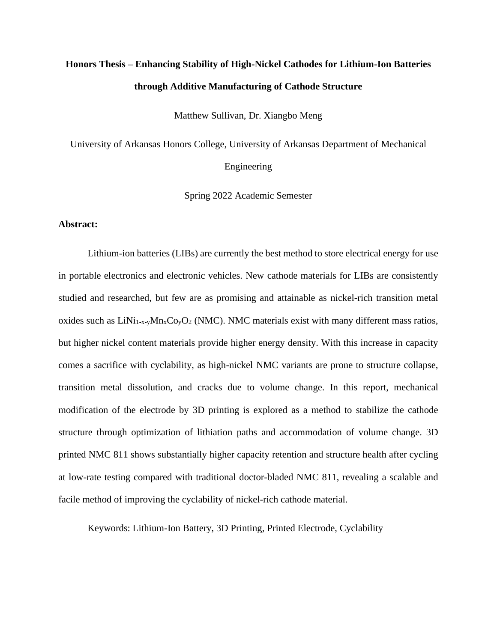# **Honors Thesis – Enhancing Stability of High-Nickel Cathodes for Lithium-Ion Batteries through Additive Manufacturing of Cathode Structure**

Matthew Sullivan, Dr. Xiangbo Meng

University of Arkansas Honors College, University of Arkansas Department of Mechanical Engineering

Spring 2022 Academic Semester

#### **Abstract:**

Lithium-ion batteries (LIBs) are currently the best method to store electrical energy for use in portable electronics and electronic vehicles. New cathode materials for LIBs are consistently studied and researched, but few are as promising and attainable as nickel-rich transition metal oxides such as  $LiNi<sub>1-x-y</sub>Mn<sub>x</sub>Co<sub>y</sub>O<sub>2</sub>$  (NMC). NMC materials exist with many different mass ratios, but higher nickel content materials provide higher energy density. With this increase in capacity comes a sacrifice with cyclability, as high-nickel NMC variants are prone to structure collapse, transition metal dissolution, and cracks due to volume change. In this report, mechanical modification of the electrode by 3D printing is explored as a method to stabilize the cathode structure through optimization of lithiation paths and accommodation of volume change. 3D printed NMC 811 shows substantially higher capacity retention and structure health after cycling at low-rate testing compared with traditional doctor-bladed NMC 811, revealing a scalable and facile method of improving the cyclability of nickel-rich cathode material.

Keywords: Lithium-Ion Battery, 3D Printing, Printed Electrode, Cyclability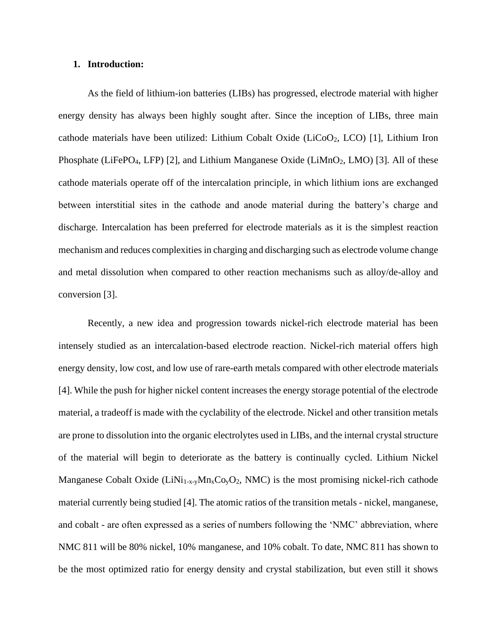#### **1. Introduction:**

As the field of lithium-ion batteries (LIBs) has progressed, electrode material with higher energy density has always been highly sought after. Since the inception of LIBs, three main cathode materials have been utilized: Lithium Cobalt Oxide (LiCoO2, LCO) [1], Lithium Iron Phosphate (LiFePO<sub>4</sub>, LFP) [2], and Lithium Manganese Oxide (LiMnO<sub>2</sub>, LMO) [3]. All of these cathode materials operate off of the intercalation principle, in which lithium ions are exchanged between interstitial sites in the cathode and anode material during the battery's charge and discharge. Intercalation has been preferred for electrode materials as it is the simplest reaction mechanism and reduces complexities in charging and discharging such as electrode volume change and metal dissolution when compared to other reaction mechanisms such as alloy/de-alloy and conversion [3].

Recently, a new idea and progression towards nickel-rich electrode material has been intensely studied as an intercalation-based electrode reaction. Nickel-rich material offers high energy density, low cost, and low use of rare-earth metals compared with other electrode materials [4]. While the push for higher nickel content increases the energy storage potential of the electrode material, a tradeoff is made with the cyclability of the electrode. Nickel and other transition metals are prone to dissolution into the organic electrolytes used in LIBs, and the internal crystal structure of the material will begin to deteriorate as the battery is continually cycled. Lithium Nickel Manganese Cobalt Oxide (LiNi<sub>1-x-y</sub>Mn<sub>x</sub>Co<sub>y</sub>O<sub>2</sub>, NMC) is the most promising nickel-rich cathode material currently being studied [4]. The atomic ratios of the transition metals - nickel, manganese, and cobalt - are often expressed as a series of numbers following the 'NMC' abbreviation, where NMC 811 will be 80% nickel, 10% manganese, and 10% cobalt. To date, NMC 811 has shown to be the most optimized ratio for energy density and crystal stabilization, but even still it shows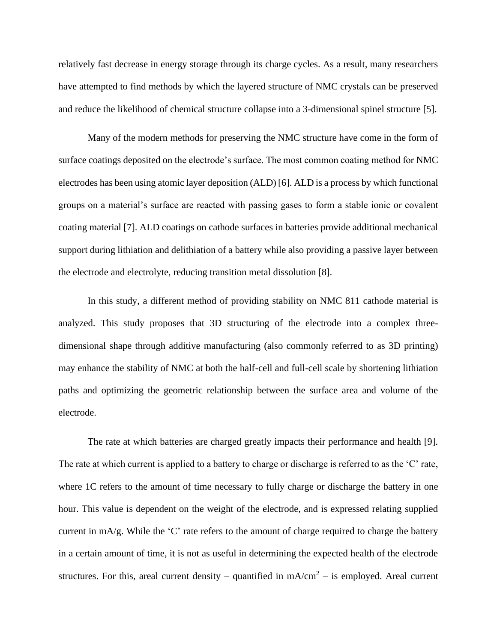relatively fast decrease in energy storage through its charge cycles. As a result, many researchers have attempted to find methods by which the layered structure of NMC crystals can be preserved and reduce the likelihood of chemical structure collapse into a 3-dimensional spinel structure [5].

Many of the modern methods for preserving the NMC structure have come in the form of surface coatings deposited on the electrode's surface. The most common coating method for NMC electrodes has been using atomic layer deposition (ALD) [6]. ALD is a process by which functional groups on a material's surface are reacted with passing gases to form a stable ionic or covalent coating material [7]. ALD coatings on cathode surfaces in batteries provide additional mechanical support during lithiation and delithiation of a battery while also providing a passive layer between the electrode and electrolyte, reducing transition metal dissolution [8].

In this study, a different method of providing stability on NMC 811 cathode material is analyzed. This study proposes that 3D structuring of the electrode into a complex threedimensional shape through additive manufacturing (also commonly referred to as 3D printing) may enhance the stability of NMC at both the half-cell and full-cell scale by shortening lithiation paths and optimizing the geometric relationship between the surface area and volume of the electrode.

The rate at which batteries are charged greatly impacts their performance and health [9]. The rate at which current is applied to a battery to charge or discharge is referred to as the 'C' rate, where 1C refers to the amount of time necessary to fully charge or discharge the battery in one hour. This value is dependent on the weight of the electrode, and is expressed relating supplied current in mA/g. While the 'C' rate refers to the amount of charge required to charge the battery in a certain amount of time, it is not as useful in determining the expected health of the electrode structures. For this, areal current density – quantified in  $mA/cm^2$  – is employed. Areal current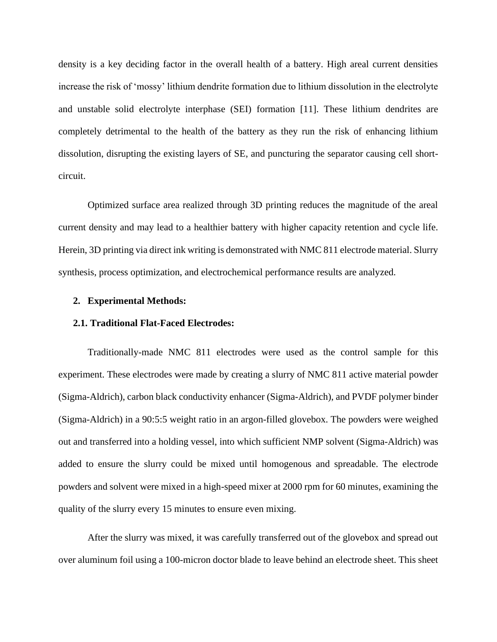density is a key deciding factor in the overall health of a battery. High areal current densities increase the risk of 'mossy' lithium dendrite formation due to lithium dissolution in the electrolyte and unstable solid electrolyte interphase (SEI) formation [11]. These lithium dendrites are completely detrimental to the health of the battery as they run the risk of enhancing lithium dissolution, disrupting the existing layers of SE, and puncturing the separator causing cell shortcircuit.

Optimized surface area realized through 3D printing reduces the magnitude of the areal current density and may lead to a healthier battery with higher capacity retention and cycle life. Herein, 3D printing via direct ink writing is demonstrated with NMC 811 electrode material. Slurry synthesis, process optimization, and electrochemical performance results are analyzed.

#### **2. Experimental Methods:**

#### **2.1. Traditional Flat-Faced Electrodes:**

Traditionally-made NMC 811 electrodes were used as the control sample for this experiment. These electrodes were made by creating a slurry of NMC 811 active material powder (Sigma-Aldrich), carbon black conductivity enhancer (Sigma-Aldrich), and PVDF polymer binder (Sigma-Aldrich) in a 90:5:5 weight ratio in an argon-filled glovebox. The powders were weighed out and transferred into a holding vessel, into which sufficient NMP solvent (Sigma-Aldrich) was added to ensure the slurry could be mixed until homogenous and spreadable. The electrode powders and solvent were mixed in a high-speed mixer at 2000 rpm for 60 minutes, examining the quality of the slurry every 15 minutes to ensure even mixing.

After the slurry was mixed, it was carefully transferred out of the glovebox and spread out over aluminum foil using a 100-micron doctor blade to leave behind an electrode sheet. This sheet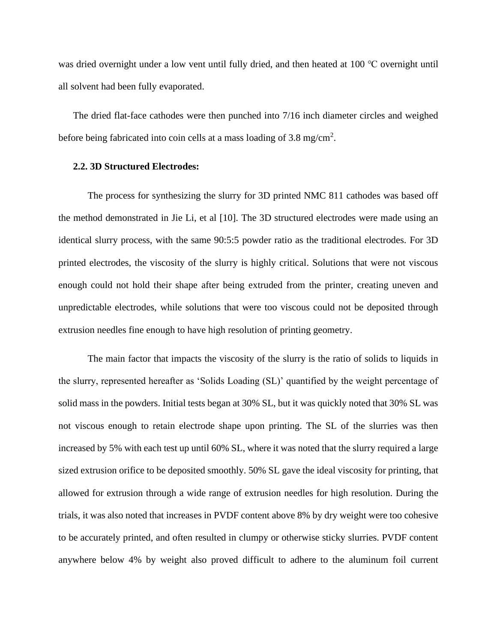was dried overnight under a low vent until fully dried, and then heated at 100 ℃ overnight until all solvent had been fully evaporated.

The dried flat-face cathodes were then punched into 7/16 inch diameter circles and weighed before being fabricated into coin cells at a mass loading of  $3.8 \text{ mg/cm}^2$ .

#### **2.2. 3D Structured Electrodes:**

The process for synthesizing the slurry for 3D printed NMC 811 cathodes was based off the method demonstrated in Jie Li, et al [10]. The 3D structured electrodes were made using an identical slurry process, with the same 90:5:5 powder ratio as the traditional electrodes. For 3D printed electrodes, the viscosity of the slurry is highly critical. Solutions that were not viscous enough could not hold their shape after being extruded from the printer, creating uneven and unpredictable electrodes, while solutions that were too viscous could not be deposited through extrusion needles fine enough to have high resolution of printing geometry.

The main factor that impacts the viscosity of the slurry is the ratio of solids to liquids in the slurry, represented hereafter as 'Solids Loading (SL)' quantified by the weight percentage of solid mass in the powders. Initial tests began at 30% SL, but it was quickly noted that 30% SL was not viscous enough to retain electrode shape upon printing. The SL of the slurries was then increased by 5% with each test up until 60% SL, where it was noted that the slurry required a large sized extrusion orifice to be deposited smoothly. 50% SL gave the ideal viscosity for printing, that allowed for extrusion through a wide range of extrusion needles for high resolution. During the trials, it was also noted that increases in PVDF content above 8% by dry weight were too cohesive to be accurately printed, and often resulted in clumpy or otherwise sticky slurries. PVDF content anywhere below 4% by weight also proved difficult to adhere to the aluminum foil current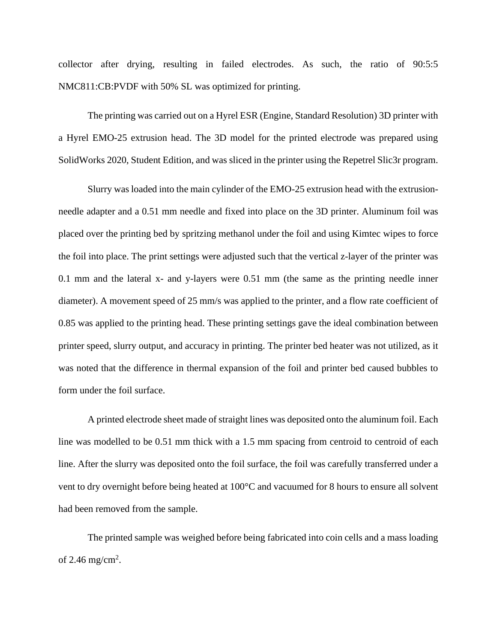collector after drying, resulting in failed electrodes. As such, the ratio of 90:5:5 NMC811:CB:PVDF with 50% SL was optimized for printing.

The printing was carried out on a Hyrel ESR (Engine, Standard Resolution) 3D printer with a Hyrel EMO-25 extrusion head. The 3D model for the printed electrode was prepared using SolidWorks 2020, Student Edition, and was sliced in the printer using the Repetrel Slic3r program.

Slurry was loaded into the main cylinder of the EMO-25 extrusion head with the extrusionneedle adapter and a 0.51 mm needle and fixed into place on the 3D printer. Aluminum foil was placed over the printing bed by spritzing methanol under the foil and using Kimtec wipes to force the foil into place. The print settings were adjusted such that the vertical z-layer of the printer was 0.1 mm and the lateral x- and y-layers were 0.51 mm (the same as the printing needle inner diameter). A movement speed of 25 mm/s was applied to the printer, and a flow rate coefficient of 0.85 was applied to the printing head. These printing settings gave the ideal combination between printer speed, slurry output, and accuracy in printing. The printer bed heater was not utilized, as it was noted that the difference in thermal expansion of the foil and printer bed caused bubbles to form under the foil surface.

A printed electrode sheet made of straight lines was deposited onto the aluminum foil. Each line was modelled to be 0.51 mm thick with a 1.5 mm spacing from centroid to centroid of each line. After the slurry was deposited onto the foil surface, the foil was carefully transferred under a vent to dry overnight before being heated at 100°C and vacuumed for 8 hours to ensure all solvent had been removed from the sample.

The printed sample was weighed before being fabricated into coin cells and a mass loading of 2.46 mg/cm<sup>2</sup>.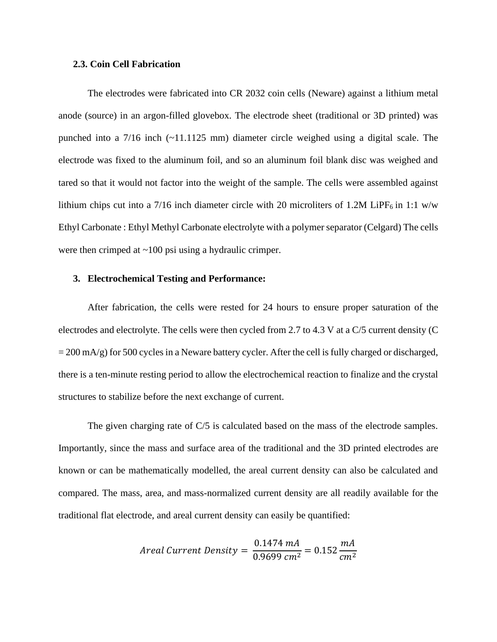#### **2.3. Coin Cell Fabrication**

The electrodes were fabricated into CR 2032 coin cells (Neware) against a lithium metal anode (source) in an argon-filled glovebox. The electrode sheet (traditional or 3D printed) was punched into a 7/16 inch (~11.1125 mm) diameter circle weighed using a digital scale. The electrode was fixed to the aluminum foil, and so an aluminum foil blank disc was weighed and tared so that it would not factor into the weight of the sample. The cells were assembled against lithium chips cut into a 7/16 inch diameter circle with 20 microliters of 1.2M LiPF<sub>6</sub> in 1:1 w/w Ethyl Carbonate : Ethyl Methyl Carbonate electrolyte with a polymer separator (Celgard) The cells were then crimped at ~100 psi using a hydraulic crimper.

#### **3. Electrochemical Testing and Performance:**

After fabrication, the cells were rested for 24 hours to ensure proper saturation of the electrodes and electrolyte. The cells were then cycled from 2.7 to 4.3 V at a C/5 current density (C  $= 200$  mA/g) for 500 cycles in a Neware battery cycler. After the cell is fully charged or discharged, there is a ten-minute resting period to allow the electrochemical reaction to finalize and the crystal structures to stabilize before the next exchange of current.

The given charging rate of  $C/5$  is calculated based on the mass of the electrode samples. Importantly, since the mass and surface area of the traditional and the 3D printed electrodes are known or can be mathematically modelled, the areal current density can also be calculated and compared. The mass, area, and mass-normalized current density are all readily available for the traditional flat electrode, and areal current density can easily be quantified:

$$
Areal Current Density = \frac{0.1474 \text{ }mA}{0.9699 \text{ }cm^2} = 0.152 \frac{mA}{cm^2}
$$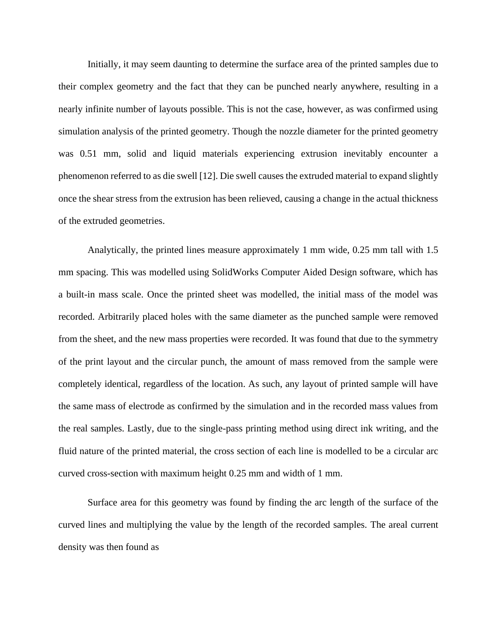Initially, it may seem daunting to determine the surface area of the printed samples due to their complex geometry and the fact that they can be punched nearly anywhere, resulting in a nearly infinite number of layouts possible. This is not the case, however, as was confirmed using simulation analysis of the printed geometry. Though the nozzle diameter for the printed geometry was 0.51 mm, solid and liquid materials experiencing extrusion inevitably encounter a phenomenon referred to as die swell [12]. Die swell causes the extruded material to expand slightly once the shear stress from the extrusion has been relieved, causing a change in the actual thickness of the extruded geometries.

Analytically, the printed lines measure approximately 1 mm wide, 0.25 mm tall with 1.5 mm spacing. This was modelled using SolidWorks Computer Aided Design software, which has a built-in mass scale. Once the printed sheet was modelled, the initial mass of the model was recorded. Arbitrarily placed holes with the same diameter as the punched sample were removed from the sheet, and the new mass properties were recorded. It was found that due to the symmetry of the print layout and the circular punch, the amount of mass removed from the sample were completely identical, regardless of the location. As such, any layout of printed sample will have the same mass of electrode as confirmed by the simulation and in the recorded mass values from the real samples. Lastly, due to the single-pass printing method using direct ink writing, and the fluid nature of the printed material, the cross section of each line is modelled to be a circular arc curved cross-section with maximum height 0.25 mm and width of 1 mm.

Surface area for this geometry was found by finding the arc length of the surface of the curved lines and multiplying the value by the length of the recorded samples. The areal current density was then found as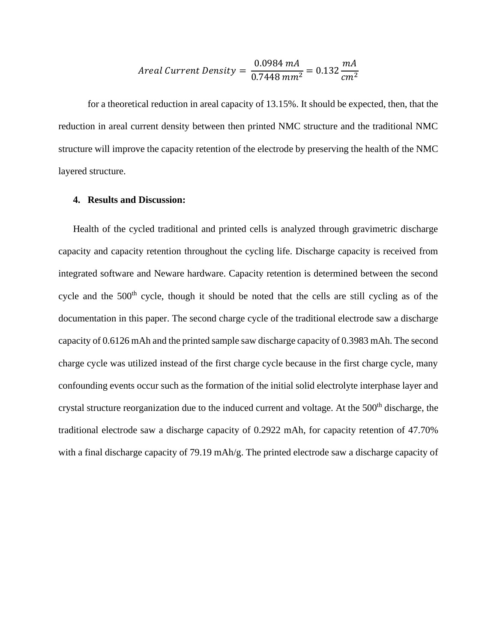$$
Areal Current Density = \frac{0.0984 \text{ mA}}{0.7448 \text{ mm}^2} = 0.132 \frac{mA}{cm^2}
$$

for a theoretical reduction in areal capacity of 13.15%. It should be expected, then, that the reduction in areal current density between then printed NMC structure and the traditional NMC structure will improve the capacity retention of the electrode by preserving the health of the NMC layered structure.

#### **4. Results and Discussion:**

Health of the cycled traditional and printed cells is analyzed through gravimetric discharge capacity and capacity retention throughout the cycling life. Discharge capacity is received from integrated software and Neware hardware. Capacity retention is determined between the second cycle and the 500<sup>th</sup> cycle, though it should be noted that the cells are still cycling as of the documentation in this paper. The second charge cycle of the traditional electrode saw a discharge capacity of 0.6126 mAh and the printed sample saw discharge capacity of 0.3983 mAh. The second charge cycle was utilized instead of the first charge cycle because in the first charge cycle, many confounding events occur such as the formation of the initial solid electrolyte interphase layer and crystal structure reorganization due to the induced current and voltage. At the 500<sup>th</sup> discharge, the traditional electrode saw a discharge capacity of 0.2922 mAh, for capacity retention of 47.70% with a final discharge capacity of 79.19 mAh/g. The printed electrode saw a discharge capacity of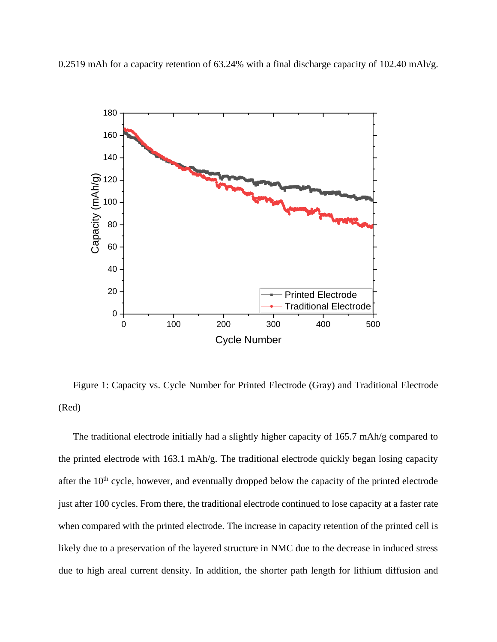0.2519 mAh for a capacity retention of 63.24% with a final discharge capacity of 102.40 mAh/g.



Figure 1: Capacity vs. Cycle Number for Printed Electrode (Gray) and Traditional Electrode (Red)

The traditional electrode initially had a slightly higher capacity of 165.7 mAh/g compared to the printed electrode with 163.1 mAh/g. The traditional electrode quickly began losing capacity after the  $10<sup>th</sup>$  cycle, however, and eventually dropped below the capacity of the printed electrode just after 100 cycles. From there, the traditional electrode continued to lose capacity at a faster rate when compared with the printed electrode. The increase in capacity retention of the printed cell is likely due to a preservation of the layered structure in NMC due to the decrease in induced stress due to high areal current density. In addition, the shorter path length for lithium diffusion and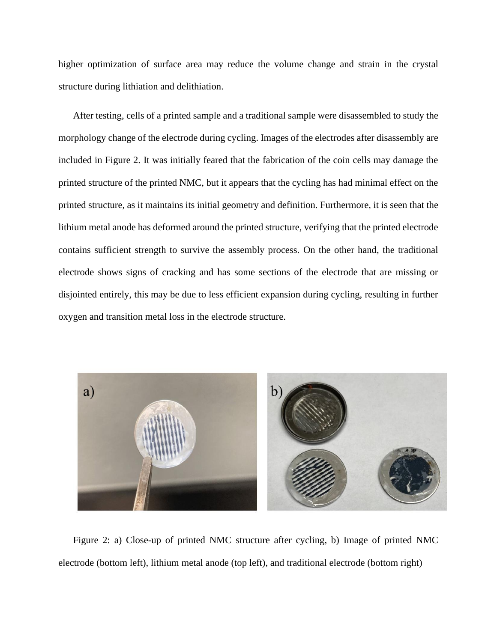higher optimization of surface area may reduce the volume change and strain in the crystal structure during lithiation and delithiation.

After testing, cells of a printed sample and a traditional sample were disassembled to study the morphology change of the electrode during cycling. Images of the electrodes after disassembly are included in Figure 2. It was initially feared that the fabrication of the coin cells may damage the printed structure of the printed NMC, but it appears that the cycling has had minimal effect on the printed structure, as it maintains its initial geometry and definition. Furthermore, it is seen that the lithium metal anode has deformed around the printed structure, verifying that the printed electrode contains sufficient strength to survive the assembly process. On the other hand, the traditional electrode shows signs of cracking and has some sections of the electrode that are missing or disjointed entirely, this may be due to less efficient expansion during cycling, resulting in further oxygen and transition metal loss in the electrode structure.



Figure 2: a) Close-up of printed NMC structure after cycling, b) Image of printed NMC electrode (bottom left), lithium metal anode (top left), and traditional electrode (bottom right)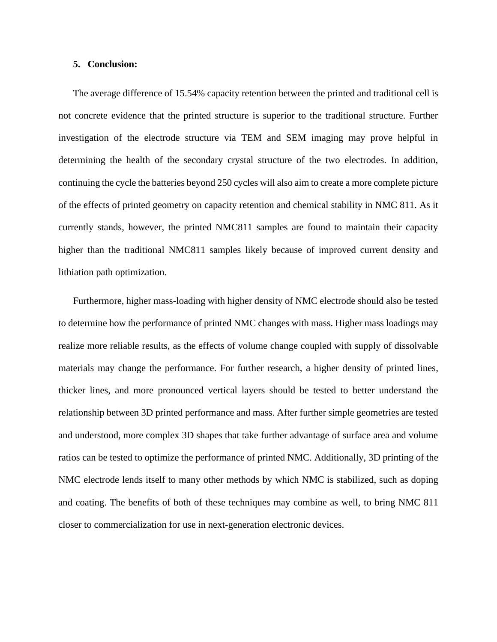#### **5. Conclusion:**

The average difference of 15.54% capacity retention between the printed and traditional cell is not concrete evidence that the printed structure is superior to the traditional structure. Further investigation of the electrode structure via TEM and SEM imaging may prove helpful in determining the health of the secondary crystal structure of the two electrodes. In addition, continuing the cycle the batteries beyond 250 cycles will also aim to create a more complete picture of the effects of printed geometry on capacity retention and chemical stability in NMC 811. As it currently stands, however, the printed NMC811 samples are found to maintain their capacity higher than the traditional NMC811 samples likely because of improved current density and lithiation path optimization.

Furthermore, higher mass-loading with higher density of NMC electrode should also be tested to determine how the performance of printed NMC changes with mass. Higher mass loadings may realize more reliable results, as the effects of volume change coupled with supply of dissolvable materials may change the performance. For further research, a higher density of printed lines, thicker lines, and more pronounced vertical layers should be tested to better understand the relationship between 3D printed performance and mass. After further simple geometries are tested and understood, more complex 3D shapes that take further advantage of surface area and volume ratios can be tested to optimize the performance of printed NMC. Additionally, 3D printing of the NMC electrode lends itself to many other methods by which NMC is stabilized, such as doping and coating. The benefits of both of these techniques may combine as well, to bring NMC 811 closer to commercialization for use in next-generation electronic devices.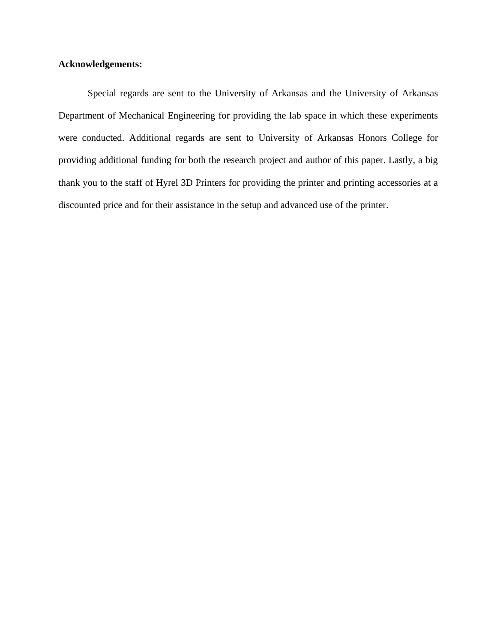### **Acknowledgements:**

Special regards are sent to the University of Arkansas and the University of Arkansas Department of Mechanical Engineering for providing the lab space in which these experiments were conducted. Additional regards are sent to University of Arkansas Honors College for providing additional funding for both the research project and author of this paper. Lastly, a big thank you to the staff of Hyrel 3D Printers for providing the printer and printing accessories at a discounted price and for their assistance in the setup and advanced use of the printer.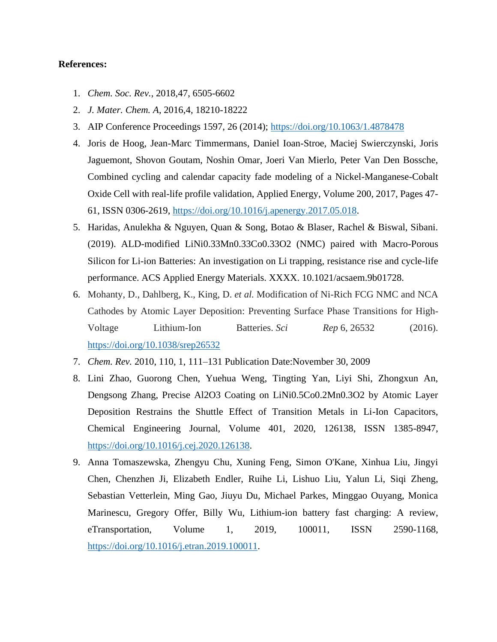### **References:**

- 1. *Chem. Soc. Rev.*, 2018,47, 6505-6602
- 2. *J. Mater. Chem. A*, 2016,4, 18210-18222
- 3. AIP Conference Proceedings 1597, 26 (2014);<https://doi.org/10.1063/1.4878478>
- 4. Joris de Hoog, Jean-Marc Timmermans, Daniel Ioan-Stroe, Maciej Swierczynski, Joris Jaguemont, Shovon Goutam, Noshin Omar, Joeri Van Mierlo, Peter Van Den Bossche, Combined cycling and calendar capacity fade modeling of a Nickel-Manganese-Cobalt Oxide Cell with real-life profile validation, Applied Energy, Volume 200, 2017, Pages 47- 61, ISSN 0306-2619, [https://doi.org/10.1016/j.apenergy.2017.05.018.](https://doi.org/10.1016/j.apenergy.2017.05.018)
- 5. Haridas, Anulekha & Nguyen, Quan & Song, Botao & Blaser, Rachel & Biswal, Sibani. (2019). ALD-modified LiNi0.33Mn0.33Co0.33O2 (NMC) paired with Macro-Porous Silicon for Li-ion Batteries: An investigation on Li trapping, resistance rise and cycle-life performance. ACS Applied Energy Materials. XXXX. 10.1021/acsaem.9b01728.
- 6. Mohanty, D., Dahlberg, K., King, D. *et al.* Modification of Ni-Rich FCG NMC and NCA Cathodes by Atomic Layer Deposition: Preventing Surface Phase Transitions for High-Voltage Lithium-Ion Batteries. *Sci Rep* 6, 26532 (2016). <https://doi.org/10.1038/srep26532>
- 7. *Chem. Rev.* 2010, 110, 1, 111–131 Publication Date:November 30, 2009
- 8. Lini Zhao, Guorong Chen, Yuehua Weng, Tingting Yan, Liyi Shi, Zhongxun An, Dengsong Zhang, Precise Al2O3 Coating on LiNi0.5Co0.2Mn0.3O2 by Atomic Layer Deposition Restrains the Shuttle Effect of Transition Metals in Li-Ion Capacitors, Chemical Engineering Journal, Volume 401, 2020, 126138, ISSN 1385-8947, [https://doi.org/10.1016/j.cej.2020.126138.](https://doi.org/10.1016/j.cej.2020.126138)
- 9. Anna Tomaszewska, Zhengyu Chu, Xuning Feng, Simon O'Kane, Xinhua Liu, Jingyi Chen, Chenzhen Ji, Elizabeth Endler, Ruihe Li, Lishuo Liu, Yalun Li, Siqi Zheng, Sebastian Vetterlein, Ming Gao, Jiuyu Du, Michael Parkes, Minggao Ouyang, Monica Marinescu, Gregory Offer, Billy Wu, Lithium-ion battery fast charging: A review, eTransportation, Volume 1, 2019, 100011, ISSN 2590-1168, [https://doi.org/10.1016/j.etran.2019.100011.](https://doi.org/10.1016/j.etran.2019.100011)